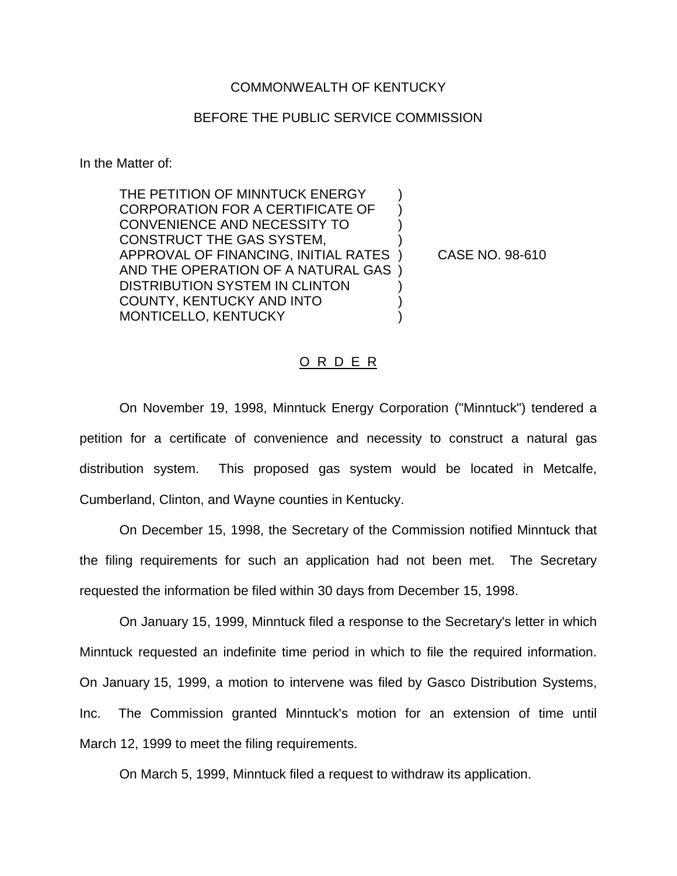## COMMONWEALTH OF KENTUCKY

## BEFORE THE PUBLIC SERVICE COMMISSION

In the Matter of:

THE PETITION OF MINNTUCK ENERGY CORPORATION FOR A CERTIFICATE OF ) CONVENIENCE AND NECESSITY TO ) CONSTRUCT THE GAS SYSTEM, ) APPROVAL OF FINANCING, INITIAL RATES ) CASE NO. 98-610 AND THE OPERATION OF A NATURAL GAS ) DISTRIBUTION SYSTEM IN CLINTON COUNTY, KENTUCKY AND INTO ) MONTICELLO, KENTUCKY (1999)

## O R D E R

On November 19, 1998, Minntuck Energy Corporation ("Minntuck") tendered a petition for a certificate of convenience and necessity to construct a natural gas distribution system. This proposed gas system would be located in Metcalfe, Cumberland, Clinton, and Wayne counties in Kentucky.

On December 15, 1998, the Secretary of the Commission notified Minntuck that the filing requirements for such an application had not been met. The Secretary requested the information be filed within 30 days from December 15, 1998.

On January 15, 1999, Minntuck filed a response to the Secretary's letter in which Minntuck requested an indefinite time period in which to file the required information. On January 15, 1999, a motion to intervene was filed by Gasco Distribution Systems, Inc. The Commission granted Minntuck's motion for an extension of time until March 12, 1999 to meet the filing requirements.

On March 5, 1999, Minntuck filed a request to withdraw its application.